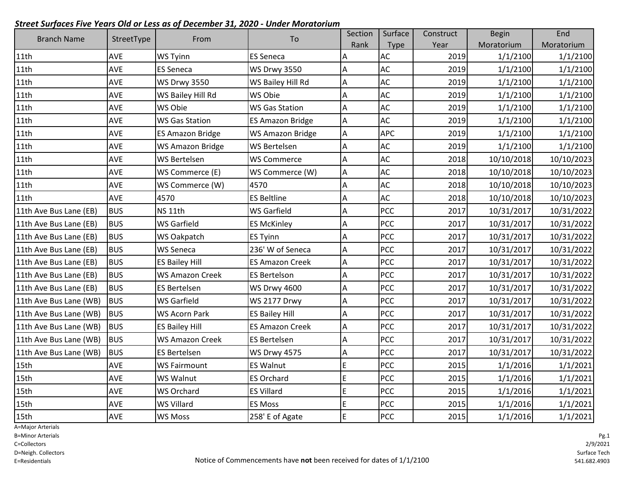| <b>Branch Name</b>     | StreetType | From                    | To                      | Section | Surface     | Construct | <b>Begin</b> | End        |
|------------------------|------------|-------------------------|-------------------------|---------|-------------|-----------|--------------|------------|
|                        |            |                         |                         | Rank    | <b>Type</b> | Year      | Moratorium   | Moratorium |
| 11th                   | AVE        | <b>WS Tyinn</b>         | <b>ES Seneca</b>        | Α       | <b>AC</b>   | 2019      | 1/1/2100     | 1/1/2100   |
| 11th                   | AVE        | <b>ES Seneca</b>        | <b>WS Drwy 3550</b>     | A       | AC          | 2019      | 1/1/2100     | 1/1/2100   |
| 11th                   | AVE        | <b>WS Drwy 3550</b>     | WS Bailey Hill Rd       | А       | <b>AC</b>   | 2019      | 1/1/2100     | 1/1/2100   |
| 11th                   | AVE        | WS Bailey Hill Rd       | WS Obie                 | А       | AC          | 2019      | 1/1/2100     | 1/1/2100   |
| 11th                   | AVE        | WS Obie                 | <b>WS Gas Station</b>   | Α       | <b>AC</b>   | 2019      | 1/1/2100     | 1/1/2100   |
| 11th                   | AVE        | <b>WS Gas Station</b>   | <b>ES Amazon Bridge</b> | А       | <b>AC</b>   | 2019      | 1/1/2100     | 1/1/2100   |
| 11th                   | AVE        | <b>ES Amazon Bridge</b> | <b>WS Amazon Bridge</b> | Α       | <b>APC</b>  | 2019      | 1/1/2100     | 1/1/2100   |
| 11th                   | AVE        | WS Amazon Bridge        | WS Bertelsen            | Α       | AC          | 2019      | 1/1/2100     | 1/1/2100   |
| 11th                   | AVE        | <b>WS Bertelsen</b>     | <b>WS Commerce</b>      | А       | AC          | 2018      | 10/10/2018   | 10/10/2023 |
| 11th                   | AVE        | WS Commerce (E)         | WS Commerce (W)         | A       | AC          | 2018      | 10/10/2018   | 10/10/2023 |
| 11th                   | AVE        | WS Commerce (W)         | 4570                    | Α       | <b>AC</b>   | 2018      | 10/10/2018   | 10/10/2023 |
| 11th                   | AVE        | 4570                    | <b>ES Beltline</b>      | Α       | <b>AC</b>   | 2018      | 10/10/2018   | 10/10/2023 |
| 11th Ave Bus Lane (EB) | <b>BUS</b> | NS <sub>11th</sub>      | <b>WS Garfield</b>      | A       | <b>PCC</b>  | 2017      | 10/31/2017   | 10/31/2022 |
| 11th Ave Bus Lane (EB) | <b>BUS</b> | WS Garfield             | <b>ES McKinley</b>      | A       | <b>PCC</b>  | 2017      | 10/31/2017   | 10/31/2022 |
| 11th Ave Bus Lane (EB) | <b>BUS</b> | WS Oakpatch             | <b>ES Tyinn</b>         | А       | PCC         | 2017      | 10/31/2017   | 10/31/2022 |
| 11th Ave Bus Lane (EB) | <b>BUS</b> | <b>WS Seneca</b>        | 236' W of Seneca        | А       | <b>PCC</b>  | 2017      | 10/31/2017   | 10/31/2022 |
| 11th Ave Bus Lane (EB) | <b>BUS</b> | <b>ES Bailey Hill</b>   | <b>ES Amazon Creek</b>  | А       | <b>PCC</b>  | 2017      | 10/31/2017   | 10/31/2022 |
| 11th Ave Bus Lane (EB) | <b>BUS</b> | <b>WS Amazon Creek</b>  | <b>ES Bertelson</b>     | Α       | <b>PCC</b>  | 2017      | 10/31/2017   | 10/31/2022 |
| 11th Ave Bus Lane (EB) | <b>BUS</b> | <b>ES Bertelsen</b>     | <b>WS Drwy 4600</b>     | А       | PCC         | 2017      | 10/31/2017   | 10/31/2022 |
| 11th Ave Bus Lane (WB) | <b>BUS</b> | <b>WS Garfield</b>      | <b>WS 2177 Drwy</b>     | Α       | PCC         | 2017      | 10/31/2017   | 10/31/2022 |
| 11th Ave Bus Lane (WB) | <b>BUS</b> | WS Acorn Park           | <b>ES Bailey Hill</b>   | А       | PCC         | 2017      | 10/31/2017   | 10/31/2022 |
| 11th Ave Bus Lane (WB) | <b>BUS</b> | <b>ES Bailey Hill</b>   | <b>ES Amazon Creek</b>  | А       | PCC         | 2017      | 10/31/2017   | 10/31/2022 |
| 11th Ave Bus Lane (WB) | <b>BUS</b> | <b>WS Amazon Creek</b>  | <b>ES Bertelsen</b>     | А       | PCC         | 2017      | 10/31/2017   | 10/31/2022 |
| 11th Ave Bus Lane (WB) | <b>BUS</b> | <b>ES Bertelsen</b>     | <b>WS Drwy 4575</b>     | Α       | PCC         | 2017      | 10/31/2017   | 10/31/2022 |
| 15th                   | AVE        | <b>WS Fairmount</b>     | <b>ES Walnut</b>        | E       | <b>PCC</b>  | 2015      | 1/1/2016     | 1/1/2021   |
| 15th                   | AVE        | <b>WS Walnut</b>        | <b>ES Orchard</b>       | E       | PCC         | 2015      | 1/1/2016     | 1/1/2021   |
| 15th                   | AVE        | <b>WS Orchard</b>       | <b>ES Villard</b>       | E       | <b>PCC</b>  | 2015      | 1/1/2016     | 1/1/2021   |
| 15th                   | AVE        | <b>WS Villard</b>       | <b>ES Moss</b>          | E       | PCC         | 2015      | 1/1/2016     | 1/1/2021   |
| 15 <sub>th</sub>       | AVE        | <b>WS Moss</b>          | 258' E of Agate         | E       | <b>PCC</b>  | 2015      | 1/1/2016     | 1/1/2021   |

A=Major Arterials

B=Minor Arterials

C=Collectors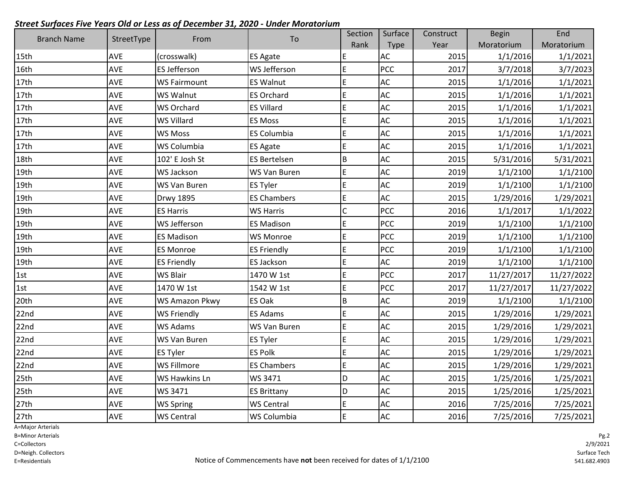| <b>Branch Name</b> | StreetType | From                | To                  | Section | Surface       | Construct | <b>Begin</b> | End        |
|--------------------|------------|---------------------|---------------------|---------|---------------|-----------|--------------|------------|
|                    |            |                     |                     | Rank    | Type          | Year      | Moratorium   | Moratorium |
| 15th               | AVE        | (crosswalk)         | <b>ES Agate</b>     | E       | AC            | 2015      | 1/1/2016     | 1/1/2021   |
| 16th               | <b>AVE</b> | <b>ES Jefferson</b> | WS Jefferson        | E       | <b>PCC</b>    | 2017      | 3/7/2018     | 3/7/2023   |
| 17th               | AVE        | <b>WS Fairmount</b> | <b>ES Walnut</b>    | E       | $\mathsf{AC}$ | 2015      | 1/1/2016     | 1/1/2021   |
| 17th               | AVE        | WS Walnut           | <b>ES Orchard</b>   | E       | AC            | 2015      | 1/1/2016     | 1/1/2021   |
| 17th               | AVE        | <b>WS Orchard</b>   | <b>ES Villard</b>   | E       | AC            | 2015      | 1/1/2016     | 1/1/2021   |
| 17th               | <b>AVE</b> | <b>WS Villard</b>   | <b>ES Moss</b>      | E       | AC            | 2015      | 1/1/2016     | 1/1/2021   |
| 17th               | AVE        | <b>WS Moss</b>      | <b>ES Columbia</b>  | E       | AC            | 2015      | 1/1/2016     | 1/1/2021   |
| 17th               | AVE        | WS Columbia         | <b>ES Agate</b>     | E       | AC            | 2015      | 1/1/2016     | 1/1/2021   |
| 18th               | <b>AVE</b> | 102' E Josh St      | <b>ES Bertelsen</b> | $\sf B$ | AC            | 2015      | 5/31/2016    | 5/31/2021  |
| 19th               | AVE        | WS Jackson          | WS Van Buren        | E       | AC            | 2019      | 1/1/2100     | 1/1/2100   |
| 19th               | <b>AVE</b> | WS Van Buren        | <b>ES Tyler</b>     | E       | <b>AC</b>     | 2019      | 1/1/2100     | 1/1/2100   |
| 19th               | AVE        | <b>Drwy 1895</b>    | <b>ES Chambers</b>  | E       | AC            | 2015      | 1/29/2016    | 1/29/2021  |
| 19th               | AVE        | <b>ES Harris</b>    | <b>WS Harris</b>    | C       | <b>PCC</b>    | 2016      | 1/1/2017     | 1/1/2022   |
| 19th               | AVE        | WS Jefferson        | <b>ES Madison</b>   | E       | <b>PCC</b>    | 2019      | 1/1/2100     | 1/1/2100   |
| 19th               | <b>AVE</b> | <b>ES Madison</b>   | <b>WS Monroe</b>    | E       | PCC           | 2019      | 1/1/2100     | 1/1/2100   |
| 19th               | AVE        | <b>ES Monroe</b>    | <b>ES Friendly</b>  | E       | <b>PCC</b>    | 2019      | 1/1/2100     | 1/1/2100   |
| 19th               | <b>AVE</b> | <b>ES Friendly</b>  | <b>ES Jackson</b>   | E       | AC            | 2019      | 1/1/2100     | 1/1/2100   |
| 1st                | <b>AVE</b> | <b>WS Blair</b>     | 1470 W 1st          | E       | <b>PCC</b>    | 2017      | 11/27/2017   | 11/27/2022 |
| 1st                | <b>AVE</b> | 1470 W 1st          | 1542 W 1st          | E       | <b>PCC</b>    | 2017      | 11/27/2017   | 11/27/2022 |
| 20th               | AVE        | WS Amazon Pkwy      | ES Oak              | B       | AC            | 2019      | 1/1/2100     | 1/1/2100   |
| 22nd               | AVE        | <b>WS Friendly</b>  | <b>ES Adams</b>     | E       | AC            | 2015      | 1/29/2016    | 1/29/2021  |
| 22nd               | AVE        | WS Adams            | WS Van Buren        | E       | AC            | 2015      | 1/29/2016    | 1/29/2021  |
| 22 <sub>nd</sub>   | AVE        | WS Van Buren        | <b>ES Tyler</b>     | E       | AC            | 2015      | 1/29/2016    | 1/29/2021  |
| 22nd               | AVE        | <b>ES Tyler</b>     | <b>ES Polk</b>      | E       | AC            | 2015      | 1/29/2016    | 1/29/2021  |
| 22 <sub>nd</sub>   | AVE        | WS Fillmore         | <b>ES Chambers</b>  | E       | AC            | 2015      | 1/29/2016    | 1/29/2021  |
| 25th               | AVE        | WS Hawkins Ln       | WS 3471             | D       | <b>AC</b>     | 2015      | 1/25/2016    | 1/25/2021  |
| 25th               | AVE        | WS 3471             | <b>ES Brittany</b>  | D       | AC            | 2015      | 1/25/2016    | 1/25/2021  |
| 27th               | AVE        | WS Spring           | <b>WS Central</b>   | E       | AC            | 2016      | 7/25/2016    | 7/25/2021  |
| 27th               | AVE        | <b>WS Central</b>   | <b>WS Columbia</b>  | E       | AC            | 2016      | 7/25/2016    | 7/25/2021  |

A=Major Arterials

B=Minor Arterials

C=Collectors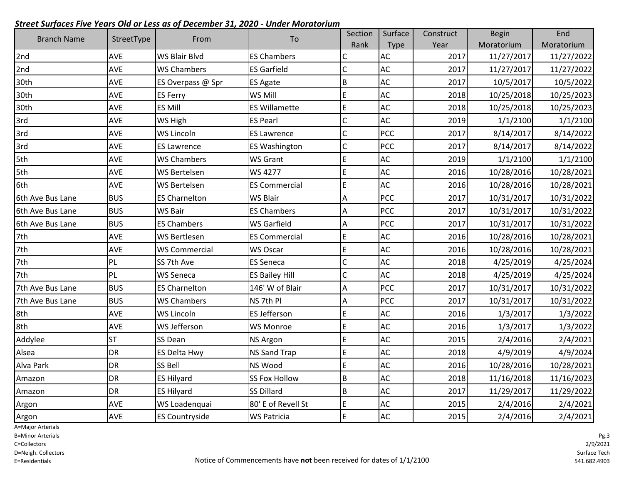| <b>Branch Name</b> |            |                       |                       | Section        | Surface       | Construct | <b>Begin</b> | End        |
|--------------------|------------|-----------------------|-----------------------|----------------|---------------|-----------|--------------|------------|
|                    | StreetType | From                  | To                    | Rank           | Type          | Year      | Moratorium   | Moratorium |
| 2nd                | AVE        | WS Blair Blvd         | <b>ES Chambers</b>    | C              | <b>AC</b>     | 2017      | 11/27/2017   | 11/27/2022 |
| 2nd                | <b>AVE</b> | <b>WS Chambers</b>    | <b>ES Garfield</b>    | $\mathsf{C}$   | AC            | 2017      | 11/27/2017   | 11/27/2022 |
| 30th               | AVE        | ES Overpass @ Spr     | <b>ES Agate</b>       | $\overline{B}$ | AC            | 2017      | 10/5/2017    | 10/5/2022  |
| 30th               | AVE        | <b>ES Ferry</b>       | WS Mill               | E              | <b>AC</b>     | 2018      | 10/25/2018   | 10/25/2023 |
| 30th               | AVE        | ES Mill               | <b>ES Willamette</b>  | $\mathsf E$    | AC            | 2018      | 10/25/2018   | 10/25/2023 |
| 3rd                | <b>AVE</b> | WS High               | <b>ES Pearl</b>       | $\mathsf{C}$   | AC            | 2019      | 1/1/2100     | 1/1/2100   |
| 3rd                | <b>AVE</b> | WS Lincoln            | <b>ES Lawrence</b>    | $\mathsf{C}$   | <b>PCC</b>    | 2017      | 8/14/2017    | 8/14/2022  |
| 3rd                | <b>AVE</b> | <b>ES Lawrence</b>    | <b>ES Washington</b>  | $\mathsf{C}$   | <b>PCC</b>    | 2017      | 8/14/2017    | 8/14/2022  |
| 5th                | <b>AVE</b> | <b>WS Chambers</b>    | <b>WS Grant</b>       | E              | AC            | 2019      | 1/1/2100     | 1/1/2100   |
| 5th                | AVE        | <b>WS Bertelsen</b>   | WS 4277               | E              | AC            | 2016      | 10/28/2016   | 10/28/2021 |
| 6th                | <b>AVE</b> | <b>WS Bertelsen</b>   | <b>ES Commercial</b>  | E              | <b>AC</b>     | 2016      | 10/28/2016   | 10/28/2021 |
| 6th Ave Bus Lane   | <b>BUS</b> | <b>ES Charnelton</b>  | <b>WS Blair</b>       | A              | <b>PCC</b>    | 2017      | 10/31/2017   | 10/31/2022 |
| 6th Ave Bus Lane   | <b>BUS</b> | <b>WS Bair</b>        | <b>ES Chambers</b>    | A              | <b>PCC</b>    | 2017      | 10/31/2017   | 10/31/2022 |
| 6th Ave Bus Lane   | <b>BUS</b> | <b>ES Chambers</b>    | <b>WS Garfield</b>    | A              | <b>PCC</b>    | 2017      | 10/31/2017   | 10/31/2022 |
| 7th                | <b>AVE</b> | WS Bertlesen          | <b>ES Commercial</b>  | E              | AC            | 2016      | 10/28/2016   | 10/28/2021 |
| 7th                | <b>AVE</b> | <b>WS Commercial</b>  | WS Oscar              | E              | AC            | 2016      | 10/28/2016   | 10/28/2021 |
| 7th                | PL         | SS 7th Ave            | <b>ES Seneca</b>      | $\mathsf{C}$   | AC            | 2018      | 4/25/2019    | 4/25/2024  |
| 7th                | PL         | <b>WS Seneca</b>      | <b>ES Bailey Hill</b> | $\mathsf{C}$   | AC            | 2018      | 4/25/2019    | 4/25/2024  |
| 7th Ave Bus Lane   | <b>BUS</b> | <b>ES Charnelton</b>  | 146' W of Blair       | A              | <b>PCC</b>    | 2017      | 10/31/2017   | 10/31/2022 |
| 7th Ave Bus Lane   | <b>BUS</b> | <b>WS Chambers</b>    | NS 7th Pl             | Α              | <b>PCC</b>    | 2017      | 10/31/2017   | 10/31/2022 |
| 8th                | AVE        | <b>WS Lincoln</b>     | <b>ES Jefferson</b>   | E              | $\mathsf{AC}$ | 2016      | 1/3/2017     | 1/3/2022   |
| 8th                | <b>AVE</b> | <b>WS Jefferson</b>   | <b>WS Monroe</b>      | $\mathsf E$    | AC            | 2016      | 1/3/2017     | 1/3/2022   |
| Addylee            | <b>ST</b>  | SS Dean               | <b>NS Argon</b>       | E              | AC            | 2015      | 2/4/2016     | 2/4/2021   |
| Alsea              | <b>DR</b>  | <b>ES Delta Hwy</b>   | <b>NS Sand Trap</b>   | E              | AC            | 2018      | 4/9/2019     | 4/9/2024   |
| Alva Park          | <b>DR</b>  | SS Bell               | <b>NS Wood</b>        | $\mathsf E$    | AC            | 2016      | 10/28/2016   | 10/28/2021 |
| Amazon             | DR         | <b>ES Hilyard</b>     | <b>SS Fox Hollow</b>  | $\overline{B}$ | AC            | 2018      | 11/16/2018   | 11/16/2023 |
| Amazon             | <b>DR</b>  | <b>ES Hilyard</b>     | <b>SS Dillard</b>     | B              | AC            | 2017      | 11/29/2017   | 11/29/2022 |
| Argon              | AVE        | WS Loadenquai         | 80' E of Revell St    | $\mathsf E$    | AC            | 2015      | 2/4/2016     | 2/4/2021   |
| Argon              | <b>AVE</b> | <b>ES Countryside</b> | <b>WS Patricia</b>    | İΕ             | <b>AC</b>     | 2015      | 2/4/2016     | 2/4/2021   |

A=Major Arterials

B=Minor Arterials

C=Collectors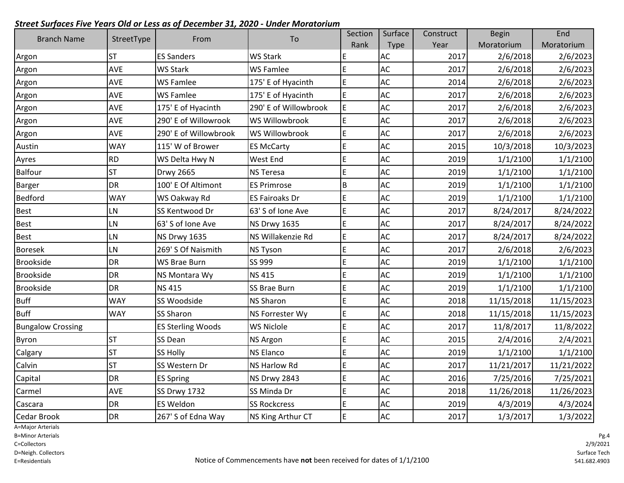| <b>Branch Name</b>       |            | From                     | To                    | Section | Surface   | Construct | <b>Begin</b> | End        |
|--------------------------|------------|--------------------------|-----------------------|---------|-----------|-----------|--------------|------------|
|                          | StreetType |                          |                       | Rank    | Type      | Year      | Moratorium   | Moratorium |
| Argon                    | <b>ST</b>  | <b>ES Sanders</b>        | <b>WS Stark</b>       | E       | <b>AC</b> | 2017      | 2/6/2018     | 2/6/2023   |
| Argon                    | AVE        | <b>WS Stark</b>          | <b>WS Famlee</b>      | E       | <b>AC</b> | 2017      | 2/6/2018     | 2/6/2023   |
| Argon                    | AVE        | <b>WS Famlee</b>         | 175' E of Hyacinth    | E       | AC        | 2014      | 2/6/2018     | 2/6/2023   |
| Argon                    | AVE        | <b>WS Famlee</b>         | 175' E of Hyacinth    | E       | AC        | 2017      | 2/6/2018     | 2/6/2023   |
| Argon                    | AVE        | 175' E of Hyacinth       | 290' E of Willowbrook | E       | AC        | 2017      | 2/6/2018     | 2/6/2023   |
| Argon                    | AVE        | 290' E of Willowrook     | WS Willowbrook        | E       | AC        | 2017      | 2/6/2018     | 2/6/2023   |
| Argon                    | AVE        | 290' E of Willowbrook    | WS Willowbrook        | E       | AC        | 2017      | 2/6/2018     | 2/6/2023   |
| Austin                   | <b>WAY</b> | 115' W of Brower         | <b>ES McCarty</b>     | E       | AC        | 2015      | 10/3/2018    | 10/3/2023  |
| Ayres                    | <b>RD</b>  | WS Delta Hwy N           | West End              | E       | AC        | 2019      | 1/1/2100     | 1/1/2100   |
| <b>Balfour</b>           | <b>ST</b>  | <b>Drwy 2665</b>         | <b>NS Teresa</b>      | E       | AC        | 2019      | 1/1/2100     | 1/1/2100   |
| <b>Barger</b>            | DR         | 100' E Of Altimont       | <b>ES Primrose</b>    | $\sf B$ | <b>AC</b> | 2019      | 1/1/2100     | 1/1/2100   |
| <b>Bedford</b>           | <b>WAY</b> | WS Oakway Rd             | <b>ES Fairoaks Dr</b> | E       | AC        | 2019      | 1/1/2100     | 1/1/2100   |
| <b>Best</b>              | <b>LN</b>  | SS Kentwood Dr           | 63' S of Ione Ave     | E       | AC        | 2017      | 8/24/2017    | 8/24/2022  |
| <b>Best</b>              | LN         | 63' S of Ione Ave        | <b>NS Drwy 1635</b>   | E       | AC        | 2017      | 8/24/2017    | 8/24/2022  |
| <b>Best</b>              | LN         | <b>NS Drwy 1635</b>      | NS Willakenzie Rd     | E       | AC        | 2017      | 8/24/2017    | 8/24/2022  |
| <b>Boresek</b>           | LN         | 269' S Of Naismith       | <b>NS Tyson</b>       | E       | AC        | 2017      | 2/6/2018     | 2/6/2023   |
| <b>Brookside</b>         | <b>DR</b>  | <b>WS Brae Burn</b>      | SS 999                | E       | AC        | 2019      | 1/1/2100     | 1/1/2100   |
| <b>Brookside</b>         | <b>DR</b>  | NS Montara Wy            | <b>NS 415</b>         | E       | AC        | 2019      | 1/1/2100     | 1/1/2100   |
| <b>Brookside</b>         | <b>DR</b>  | <b>NS415</b>             | SS Brae Burn          | E       | AC        | 2019      | 1/1/2100     | 1/1/2100   |
| Buff                     | <b>WAY</b> | SS Woodside              | <b>NS Sharon</b>      | E       | <b>AC</b> | 2018      | 11/15/2018   | 11/15/2023 |
| <b>Buff</b>              | <b>WAY</b> | SS Sharon                | NS Forrester Wy       | E       | AC        | 2018      | 11/15/2018   | 11/15/2023 |
| <b>Bungalow Crossing</b> |            | <b>ES Sterling Woods</b> | <b>WS Niclole</b>     | E       | AC        | 2017      | 11/8/2017    | 11/8/2022  |
| Byron                    | <b>ST</b>  | SS Dean                  | <b>NS Argon</b>       | E       | AC        | 2015      | 2/4/2016     | 2/4/2021   |
| Calgary                  | <b>ST</b>  | SS Holly                 | <b>NS Elanco</b>      | E       | AC        | 2019      | 1/1/2100     | 1/1/2100   |
| Calvin                   | <b>ST</b>  | SS Western Dr            | <b>NS Harlow Rd</b>   | E       | AC        | 2017      | 11/21/2017   | 11/21/2022 |
| Capital                  | DR         | <b>ES Spring</b>         | <b>NS Drwy 2843</b>   | E       | AC        | 2016      | 7/25/2016    | 7/25/2021  |
| Carmel                   | <b>AVE</b> | <b>SS Drwy 1732</b>      | SS Minda Dr           | E       | AC        | 2018      | 11/26/2018   | 11/26/2023 |
| Cascara                  | DR         | <b>ES Weldon</b>         | <b>SS Rockcress</b>   | E       | AC        | 2019      | 4/3/2019     | 4/3/2024   |
| Cedar Brook              | <b>DR</b>  | 267' S of Edna Way       | NS King Arthur CT     | E       | <b>AC</b> | 2017      | 1/3/2017     | 1/3/2022   |

A=Major Arterials

B=Minor Arterials

C=Collectors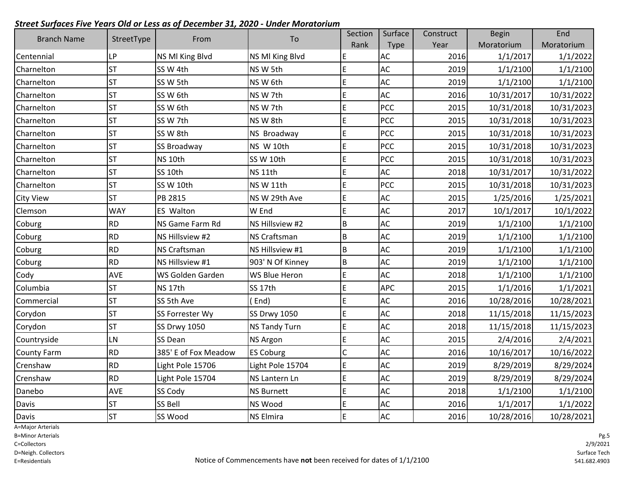| <b>Branch Name</b> | StreetType | From                 | To                   | Section | Surface    | Construct | <b>Begin</b> | End        |
|--------------------|------------|----------------------|----------------------|---------|------------|-----------|--------------|------------|
|                    |            |                      |                      | Rank    | Type       | Year      | Moratorium   | Moratorium |
| Centennial         | LP         | NS MI King Blvd      | NS MI King Blvd      | E       | <b>AC</b>  | 2016      | 1/1/2017     | 1/1/2022   |
| Charnelton         | <b>ST</b>  | SS W 4th             | NS W 5th             | E       | AC         | 2019      | 1/1/2100     | 1/1/2100   |
| Charnelton         | <b>ST</b>  | SS W 5th             | NSW 6th              | E       | AC         | 2019      | 1/1/2100     | 1/1/2100   |
| Charnelton         | <b>ST</b>  | SS W 6th             | NS W 7th             | E       | AC         | 2016      | 10/31/2017   | 10/31/2022 |
| Charnelton         | <b>ST</b>  | SS W 6th             | NS W 7th             | E       | <b>PCC</b> | 2015      | 10/31/2018   | 10/31/2023 |
| Charnelton         | <b>ST</b>  | SS W 7th             | NS W 8th             | E       | <b>PCC</b> | 2015      | 10/31/2018   | 10/31/2023 |
| Charnelton         | <b>ST</b>  | SS W 8th             | NS Broadway          | E       | <b>PCC</b> | 2015      | 10/31/2018   | 10/31/2023 |
| Charnelton         | <b>ST</b>  | <b>SS Broadway</b>   | NS W 10th            | E       | <b>PCC</b> | 2015      | 10/31/2018   | 10/31/2023 |
| Charnelton         | <b>ST</b>  | NS <sub>10th</sub>   | SS W 10th            | E       | PCC        | 2015      | 10/31/2018   | 10/31/2023 |
| Charnelton         | <b>ST</b>  | SS 10th              | NS <sub>11th</sub>   | E       | AC         | 2018      | 10/31/2017   | 10/31/2022 |
| Charnelton         | <b>ST</b>  | SS W 10th            | NS W 11th            | E       | PCC        | 2015      | 10/31/2018   | 10/31/2023 |
| <b>City View</b>   | <b>ST</b>  | PB 2815              | NS W 29th Ave        | E       | AC         | 2015      | 1/25/2016    | 1/25/2021  |
| Clemson            | <b>WAY</b> | <b>ES Walton</b>     | W End                | E       | AC         | 2017      | 10/1/2017    | 10/1/2022  |
| Coburg             | <b>RD</b>  | NS Game Farm Rd      | NS Hillsview #2      | B       | AC         | 2019      | 1/1/2100     | 1/1/2100   |
| Coburg             | <b>RD</b>  | NS Hillsview #2      | <b>NS Craftsman</b>  | B       | AC         | 2019      | 1/1/2100     | 1/1/2100   |
| Coburg             | <b>RD</b>  | <b>NS Craftsman</b>  | NS Hillsview #1      | B       | AC         | 2019      | 1/1/2100     | 1/1/2100   |
| Coburg             | <b>RD</b>  | NS Hillsview #1      | 903' N Of Kinney     | B       | AC         | 2019      | 1/1/2100     | 1/1/2100   |
| Cody               | <b>AVE</b> | WS Golden Garden     | <b>WS Blue Heron</b> | E       | AC         | 2018      | 1/1/2100     | 1/1/2100   |
| Columbia           | <b>ST</b>  | NS <sub>17th</sub>   | SS 17th              | E       | <b>APC</b> | 2015      | 1/1/2016     | 1/1/2021   |
| Commercial         | <b>ST</b>  | SS 5th Ave           | End)                 | E       | AC         | 2016      | 10/28/2016   | 10/28/2021 |
| Corydon            | <b>ST</b>  | SS Forrester Wy      | <b>SS Drwy 1050</b>  | E       | AC         | 2018      | 11/15/2018   | 11/15/2023 |
| Corydon            | <b>ST</b>  | <b>SS Drwy 1050</b>  | <b>NS Tandy Turn</b> | E       | AC         | 2018      | 11/15/2018   | 11/15/2023 |
| Countryside        | LN         | <b>SS Dean</b>       | <b>NS Argon</b>      | E       | AC         | 2015      | 2/4/2016     | 2/4/2021   |
| <b>County Farm</b> | <b>RD</b>  | 385' E of Fox Meadow | <b>ES Coburg</b>     | C       | AC         | 2016      | 10/16/2017   | 10/16/2022 |
| Crenshaw           | <b>RD</b>  | Light Pole 15706     | Light Pole 15704     | E       | AC         | 2019      | 8/29/2019    | 8/29/2024  |
| Crenshaw           | <b>RD</b>  | Light Pole 15704     | NS Lantern Ln        | E       | AC         | 2019      | 8/29/2019    | 8/29/2024  |
| Danebo             | <b>AVE</b> | SS Cody              | <b>NS Burnett</b>    | E       | AC         | 2018      | 1/1/2100     | 1/1/2100   |
| Davis              | <b>ST</b>  | SS Bell              | NS Wood              | E       | AC         | 2016      | 1/1/2017     | 1/1/2022   |
| Davis              | lsт        | SS Wood              | <b>NS Elmira</b>     | E       | AC         | 2016      | 10/28/2016   | 10/28/2021 |

A=Major Arterials

B=Minor Arterials

C=Collectors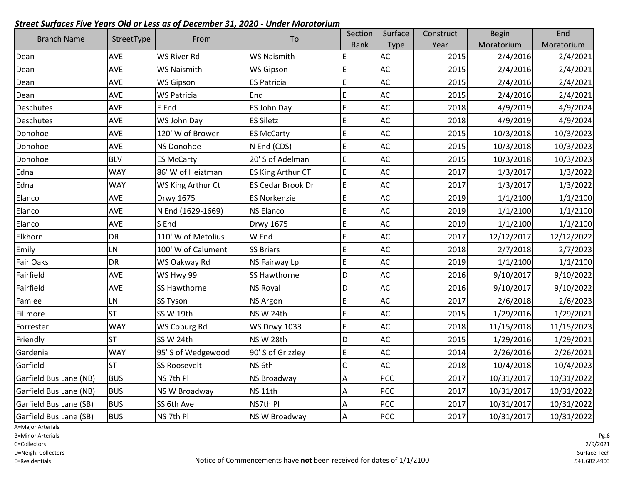|                        |            |                     |                     | Section        | Surface       | Construct | <b>Begin</b> | End        |
|------------------------|------------|---------------------|---------------------|----------------|---------------|-----------|--------------|------------|
| <b>Branch Name</b>     | StreetType | From                | To                  | Rank           | <b>Type</b>   | Year      | Moratorium   | Moratorium |
| Dean                   | <b>AVE</b> | <b>WS River Rd</b>  | <b>WS Naismith</b>  | E              | AC            | 2015      | 2/4/2016     | 2/4/2021   |
| Dean                   | <b>AVE</b> | <b>WS Naismith</b>  | <b>WS Gipson</b>    | E              | <b>AC</b>     | 2015      | 2/4/2016     | 2/4/2021   |
| Dean                   | AVE        | <b>WS Gipson</b>    | <b>ES Patricia</b>  | E              | AC            | 2015      | 2/4/2016     | 2/4/2021   |
| Dean                   | <b>AVE</b> | <b>WS Patricia</b>  | End                 | E              | AC            | 2015      | 2/4/2016     | 2/4/2021   |
| Deschutes              | <b>AVE</b> | E End               | ES John Day         | E              | AC            | 2018      | 4/9/2019     | 4/9/2024   |
| Deschutes              | AVE        | WS John Day         | <b>ES Siletz</b>    | E              | AC            | 2018      | 4/9/2019     | 4/9/2024   |
| Donohoe                | AVE        | 120' W of Brower    | <b>ES McCarty</b>   | E              | $\mathsf{AC}$ | 2015      | 10/3/2018    | 10/3/2023  |
| Donohoe                | <b>AVE</b> | <b>NS Donohoe</b>   | N End (CDS)         | E              | AC            | 2015      | 10/3/2018    | 10/3/2023  |
| Donohoe                | <b>BLV</b> | <b>ES McCarty</b>   | 20' S of Adelman    | E              | AC            | 2015      | 10/3/2018    | 10/3/2023  |
| Edna                   | <b>WAY</b> | 86' W of Heiztman   | ES King Arthur CT   | E              | AC            | 2017      | 1/3/2017     | 1/3/2022   |
| Edna                   | <b>WAY</b> | WS King Arthur Ct   | ES Cedar Brook Dr   | E              | AC            | 2017      | 1/3/2017     | 1/3/2022   |
| Elanco                 | AVE        | <b>Drwy 1675</b>    | <b>ES Norkenzie</b> | E              | AC            | 2019      | 1/1/2100     | 1/1/2100   |
| Elanco                 | <b>AVE</b> | N End (1629-1669)   | <b>NS Elanco</b>    | E              | AC            | 2019      | 1/1/2100     | 1/1/2100   |
| Elanco                 | <b>AVE</b> | S End               | <b>Drwy 1675</b>    | E              | AC            | 2019      | 1/1/2100     | 1/1/2100   |
| Elkhorn                | DR         | 110' W of Metolius  | W End               | E              | AC            | 2017      | 12/12/2017   | 12/12/2022 |
| Emily                  | LN         | 100' W of Calument  | <b>SS Briars</b>    | E              | AC            | 2018      | 2/7/2018     | 2/7/2023   |
| Fair Oaks              | DR         | WS Oakway Rd        | NS Fairway Lp       | E              | AC            | 2019      | 1/1/2100     | 1/1/2100   |
| Fairfield              | AVE        | WS Hwy 99           | SS Hawthorne        | D              | AC            | 2016      | 9/10/2017    | 9/10/2022  |
| Fairfield              | AVE        | <b>SS Hawthorne</b> | <b>NS Royal</b>     | D              | AC            | 2016      | 9/10/2017    | 9/10/2022  |
| Famlee                 | LN         | <b>SS Tyson</b>     | <b>NS Argon</b>     | E              | AC            | 2017      | 2/6/2018     | 2/6/2023   |
| Fillmore               | <b>ST</b>  | SS W 19th           | NS W 24th           | E              | AC            | 2015      | 1/29/2016    | 1/29/2021  |
| Forrester              | <b>WAY</b> | WS Coburg Rd        | <b>WS Drwy 1033</b> | E              | AC            | 2018      | 11/15/2018   | 11/15/2023 |
| Friendly               | ST         | SS W 24th           | NS W 28th           | D              | AC            | 2015      | 1/29/2016    | 1/29/2021  |
| Gardenia               | <b>WAY</b> | 95' S of Wedgewood  | 90' S of Grizzley   | E              | AC            | 2014      | 2/26/2016    | 2/26/2021  |
| Garfield               | <b>ST</b>  | <b>SS Roosevelt</b> | NS <sub>6th</sub>   | C              | AC            | 2018      | 10/4/2018    | 10/4/2023  |
| Garfield Bus Lane (NB) | <b>BUS</b> | NS 7th Pl           | <b>NS Broadway</b>  | Α              | PCC           | 2017      | 10/31/2017   | 10/31/2022 |
| Garfield Bus Lane (NB) | <b>BUS</b> | NS W Broadway       | NS <sub>11th</sub>  | Α              | <b>PCC</b>    | 2017      | 10/31/2017   | 10/31/2022 |
| Garfield Bus Lane (SB) | <b>BUS</b> | SS 6th Ave          | NS7th Pl            | A              | PCC           | 2017      | 10/31/2017   | 10/31/2022 |
| Garfield Bus Lane (SB) | <b>BUS</b> | NS 7th Pl           | NS W Broadway       | $\overline{A}$ | <b>PCC</b>    | 2017      | 10/31/2017   | 10/31/2022 |

A=Major Arterials

B=Minor Arterials

C=Collectors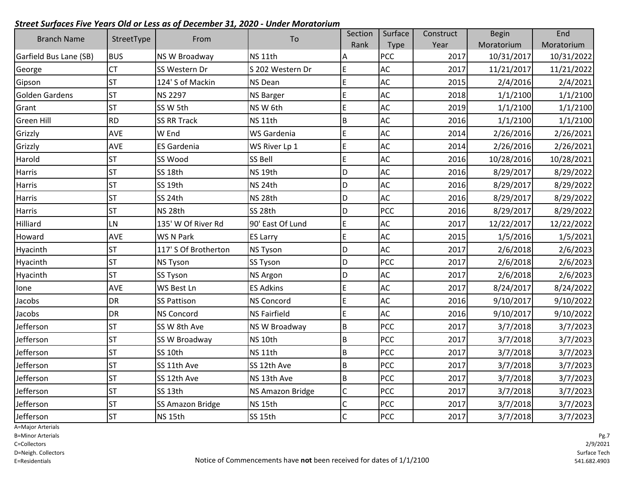| <b>Branch Name</b>     |            | From                    | To                  | Section      | Surface       | Construct | <b>Begin</b> | End        |
|------------------------|------------|-------------------------|---------------------|--------------|---------------|-----------|--------------|------------|
|                        | StreetType |                         |                     | Rank         | Type          | Year      | Moratorium   | Moratorium |
| Garfield Bus Lane (SB) | <b>BUS</b> | NS W Broadway           | NS <sub>11th</sub>  | Α            | <b>PCC</b>    | 2017      | 10/31/2017   | 10/31/2022 |
| George                 | <b>CT</b>  | SS Western Dr           | S 202 Western Dr    | E            | AC            | 2017      | 11/21/2017   | 11/21/2022 |
| Gipson                 | <b>ST</b>  | 124' S of Mackin        | NS Dean             | E            | AC            | 2015      | 2/4/2016     | 2/4/2021   |
| <b>Golden Gardens</b>  | <b>ST</b>  | <b>NS 2297</b>          | <b>NS Barger</b>    | E            | AC            | 2018      | 1/1/2100     | 1/1/2100   |
| Grant                  | <b>ST</b>  | SS W 5th                | NS W 6th            | E            | AC            | 2019      | 1/1/2100     | 1/1/2100   |
| <b>Green Hill</b>      | <b>RD</b>  | <b>SS RR Track</b>      | NS <sub>11th</sub>  | B            | AC            | 2016      | 1/1/2100     | 1/1/2100   |
| Grizzly                | AVE        | W End                   | WS Gardenia         | E            | AC            | 2014      | 2/26/2016    | 2/26/2021  |
| Grizzly                | AVE        | <b>ES Gardenia</b>      | WS River Lp 1       | E            | AC            | 2014      | 2/26/2016    | 2/26/2021  |
| Harold                 | <b>ST</b>  | SS Wood                 | SS Bell             | E            | $\mathsf{AC}$ | 2016      | 10/28/2016   | 10/28/2021 |
| Harris                 | <b>ST</b>  | SS <sub>18th</sub>      | NS <sub>19th</sub>  | D            | AC            | 2016      | 8/29/2017    | 8/29/2022  |
| <b>Harris</b>          | <b>ST</b>  | SS 19th                 | NS <sub>24th</sub>  | D            | AC            | 2016      | 8/29/2017    | 8/29/2022  |
| Harris                 | <b>ST</b>  | SS 24th                 | NS <sub>28th</sub>  | D            | AC            | 2016      | 8/29/2017    | 8/29/2022  |
| Harris                 | <b>ST</b>  | NS <sub>28th</sub>      | SS 28th             | D            | <b>PCC</b>    | 2016      | 8/29/2017    | 8/29/2022  |
| Hilliard               | LN         | 135' W Of River Rd      | 90' East Of Lund    | E            | AC            | 2017      | 12/22/2017   | 12/22/2022 |
| Howard                 | AVE        | WS N Park               | <b>ES Larry</b>     | E            | AC            | 2015      | 1/5/2016     | 1/5/2021   |
| Hyacinth               | <b>ST</b>  | 117' S Of Brotherton    | <b>NS Tyson</b>     | D            | AC            | 2017      | 2/6/2018     | 2/6/2023   |
| Hyacinth               | <b>ST</b>  | <b>NS Tyson</b>         | SS Tyson            | D            | <b>PCC</b>    | 2017      | 2/6/2018     | 2/6/2023   |
| Hyacinth               | <b>ST</b>  | <b>SS Tyson</b>         | <b>NS Argon</b>     | D            | AC            | 2017      | 2/6/2018     | 2/6/2023   |
| Ione                   | AVE        | WS Best Ln              | <b>ES Adkins</b>    | E            | AC            | 2017      | 8/24/2017    | 8/24/2022  |
| Jacobs                 | <b>DR</b>  | <b>SS Pattison</b>      | <b>NS Concord</b>   | $\mathsf E$  | AC            | 2016      | 9/10/2017    | 9/10/2022  |
| Jacobs                 | <b>DR</b>  | <b>NS Concord</b>       | <b>NS Fairfield</b> | $\mathsf E$  | AC            | 2016      | 9/10/2017    | 9/10/2022  |
| Jefferson              | <b>ST</b>  | SS W 8th Ave            | NS W Broadway       | $\sf B$      | <b>PCC</b>    | 2017      | 3/7/2018     | 3/7/2023   |
| Jefferson              | <b>ST</b>  | SS W Broadway           | NS <sub>10th</sub>  | B            | PCC           | 2017      | 3/7/2018     | 3/7/2023   |
| Jefferson              | <b>ST</b>  | SS 10th                 | NS <sub>11th</sub>  | B            | <b>PCC</b>    | 2017      | 3/7/2018     | 3/7/2023   |
| Jefferson              | <b>ST</b>  | SS 11th Ave             | SS 12th Ave         | $\sf B$      | PCC           | 2017      | 3/7/2018     | 3/7/2023   |
| Jefferson              | <b>ST</b>  | SS 12th Ave             | NS 13th Ave         | $\sf B$      | <b>PCC</b>    | 2017      | 3/7/2018     | 3/7/2023   |
| Jefferson              | <b>ST</b>  | SS <sub>13th</sub>      | NS Amazon Bridge    | $\mathsf C$  | PCC           | 2017      | 3/7/2018     | 3/7/2023   |
| Jefferson              | <b>ST</b>  | <b>SS Amazon Bridge</b> | NS <sub>15th</sub>  | $\mathsf C$  | PCC           | 2017      | 3/7/2018     | 3/7/2023   |
| Jefferson              | <b>ST</b>  | NS 15th                 | SS 15th             | $\mathsf{C}$ | <b>PCC</b>    | 2017      | 3/7/2018     | 3/7/2023   |

A=Major Arterials

B=Minor Arterials

C=Collectors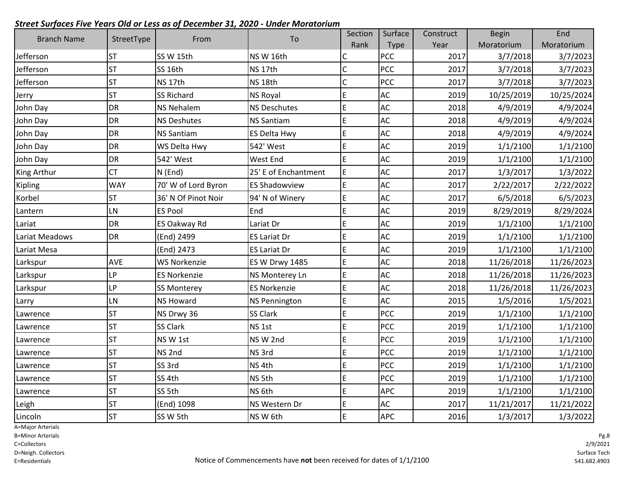| <b>Branch Name</b> | StreetType | From                | To                    | Section      | Surface     | Construct | <b>Begin</b> | End        |
|--------------------|------------|---------------------|-----------------------|--------------|-------------|-----------|--------------|------------|
|                    |            |                     |                       | Rank         | <b>Type</b> | Year      | Moratorium   | Moratorium |
| Jefferson          | <b>ST</b>  | SS W 15th           | NS W 16th             | С            | <b>PCC</b>  | 2017      | 3/7/2018     | 3/7/2023   |
| Jefferson          | <b>ST</b>  | SS 16th             | NS <sub>17th</sub>    | $\mathsf{C}$ | <b>PCC</b>  | 2017      | 3/7/2018     | 3/7/2023   |
| Jefferson          | <b>ST</b>  | NS <sub>17th</sub>  | NS <sub>18th</sub>    | $\mathsf{C}$ | PCC         | 2017      | 3/7/2018     | 3/7/2023   |
| Jerry              | <b>ST</b>  | <b>SS Richard</b>   | <b>NS Royal</b>       | E            | <b>AC</b>   | 2019      | 10/25/2019   | 10/25/2024 |
| John Day           | <b>DR</b>  | <b>NS Nehalem</b>   | <b>NS Deschutes</b>   | E            | <b>AC</b>   | 2018      | 4/9/2019     | 4/9/2024   |
| John Day           | DR         | <b>NS Deshutes</b>  | <b>NS Santiam</b>     | E            | AC          | 2018      | 4/9/2019     | 4/9/2024   |
| John Day           | DR         | <b>NS Santiam</b>   | <b>ES Delta Hwy</b>   | E            | AC          | 2018      | 4/9/2019     | 4/9/2024   |
| John Day           | <b>DR</b>  | WS Delta Hwy        | 542' West             | E            | AC          | 2019      | 1/1/2100     | 1/1/2100   |
| John Day           | <b>DR</b>  | 542' West           | <b>West End</b>       | E            | AC          | 2019      | 1/1/2100     | 1/1/2100   |
| King Arthur        | <b>CT</b>  | N (End)             | 25' E of Enchantment  | E            | <b>AC</b>   | 2017      | 1/3/2017     | 1/3/2022   |
| Kipling            | <b>WAY</b> | 70' W of Lord Byron | <b>ES Shadowview</b>  | E            | AC          | 2017      | 2/22/2017    | 2/22/2022  |
| Korbel             | <b>ST</b>  | 36' N Of Pinot Noir | 94' N of Winery       | E            | AC          | 2017      | 6/5/2018     | 6/5/2023   |
| Lantern            | LN         | <b>ES Pool</b>      | End                   | E            | <b>AC</b>   | 2019      | 8/29/2019    | 8/29/2024  |
| Lariat             | <b>DR</b>  | ES Oakway Rd        | Lariat Dr             | E            | AC          | 2019      | 1/1/2100     | 1/1/2100   |
| Lariat Meadows     | <b>DR</b>  | (End) 2499          | <b>ES Lariat Dr</b>   | E            | AC          | 2019      | 1/1/2100     | 1/1/2100   |
| Lariat Mesa        |            | (End) 2473          | <b>ES Lariat Dr</b>   | E            | AC          | 2019      | 1/1/2100     | 1/1/2100   |
| Larkspur           | AVE        | <b>WS Norkenzie</b> | <b>ES W Drwy 1485</b> | E            | AC          | 2018      | 11/26/2018   | 11/26/2023 |
| Larkspur           | <b>LP</b>  | <b>ES Norkenzie</b> | NS Monterey Ln        | E            | AC          | 2018      | 11/26/2018   | 11/26/2023 |
| Larkspur           | <b>LP</b>  | <b>SS Monterey</b>  | <b>ES Norkenzie</b>   | E            | AC          | 2018      | 11/26/2018   | 11/26/2023 |
| Larry              | LN         | <b>NS Howard</b>    | <b>NS Pennington</b>  | E            | <b>AC</b>   | 2015      | 1/5/2016     | 1/5/2021   |
| Lawrence           | <b>ST</b>  | NS Drwy 36          | <b>SS Clark</b>       | E            | <b>PCC</b>  | 2019      | 1/1/2100     | 1/1/2100   |
| Lawrence           | <b>ST</b>  | <b>SS Clark</b>     | NS 1st                | E            | <b>PCC</b>  | 2019      | 1/1/2100     | 1/1/2100   |
| Lawrence           | <b>ST</b>  | NSW1st              | NSW 2nd               | E            | PCC         | 2019      | 1/1/2100     | 1/1/2100   |
| Lawrence           | <b>ST</b>  | NS <sub>2nd</sub>   | NS 3rd                | E            | PCC         | 2019      | 1/1/2100     | 1/1/2100   |
| Lawrence           | <b>ST</b>  | SS 3rd              | NS <sub>4th</sub>     | E            | <b>PCC</b>  | 2019      | 1/1/2100     | 1/1/2100   |
| Lawrence           | <b>ST</b>  | SS 4th              | NS 5th                | E            | PCC         | 2019      | 1/1/2100     | 1/1/2100   |
| Lawrence           | <b>ST</b>  | SS 5th              | NS <sub>6th</sub>     | E            | <b>APC</b>  | 2019      | 1/1/2100     | 1/1/2100   |
| Leigh              | <b>ST</b>  | (End) 1098          | NS Western Dr         | E            | AC          | 2017      | 11/21/2017   | 11/21/2022 |
| Lincoln            | <b>ST</b>  | SS W 5th            | NS W 6th              | E            | <b>APC</b>  | 2016      | 1/3/2017     | 1/3/2022   |

A=Major Arterials

B=Minor Arterials

C=Collectors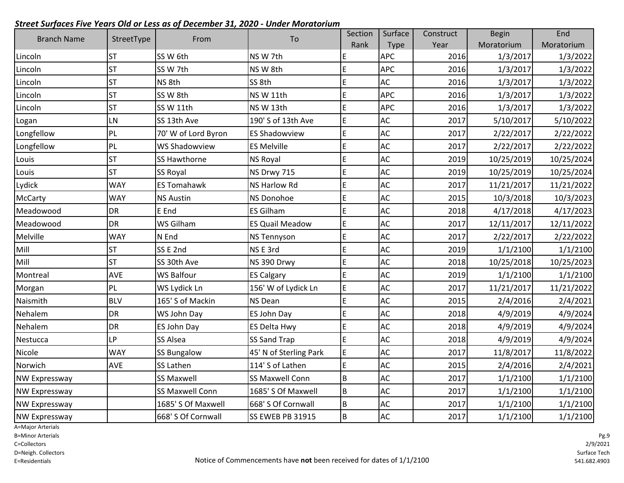| <b>Branch Name</b>   | StreetType | From                   | To                     | Section     | Surface    | Construct | <b>Begin</b> | End        |
|----------------------|------------|------------------------|------------------------|-------------|------------|-----------|--------------|------------|
|                      |            |                        |                        | Rank        | Type       | Year      | Moratorium   | Moratorium |
| Lincoln              | <b>ST</b>  | SS W 6th               | NS W 7th               | E           | <b>APC</b> | 2016      | 1/3/2017     | 1/3/2022   |
| Lincoln              | <b>ST</b>  | SS W 7th               | NS W 8th               | E           | <b>APC</b> | 2016      | 1/3/2017     | 1/3/2022   |
| Lincoln              | <b>ST</b>  | NS 8th                 | SS 8th                 | E           | AC         | 2016      | 1/3/2017     | 1/3/2022   |
| Lincoln              | <b>ST</b>  | SS W 8th               | NS W 11th              | E           | <b>APC</b> | 2016      | 1/3/2017     | 1/3/2022   |
| Lincoln              | <b>ST</b>  | SS W 11th              | NS W 13th              | E           | <b>APC</b> | 2016      | 1/3/2017     | 1/3/2022   |
| Logan                | LN         | SS 13th Ave            | 190' S of 13th Ave     | E           | AC         | 2017      | 5/10/2017    | 5/10/2022  |
| Longfellow           | PL         | 70' W of Lord Byron    | <b>ES Shadowview</b>   | E           | <b>AC</b>  | 2017      | 2/22/2017    | 2/22/2022  |
| Longfellow           | PL         | <b>WS Shadowview</b>   | <b>ES Melville</b>     | E           | AC         | 2017      | 2/22/2017    | 2/22/2022  |
| Louis                | <b>ST</b>  | <b>SS Hawthorne</b>    | <b>NS Royal</b>        | E           | AC         | 2019      | 10/25/2019   | 10/25/2024 |
| Louis                | <b>ST</b>  | <b>SS Royal</b>        | NS Drwy 715            | E           | AC         | 2019      | 10/25/2019   | 10/25/2024 |
| Lydick               | <b>WAY</b> | <b>ES Tomahawk</b>     | NS Harlow Rd           | E           | AC         | 2017      | 11/21/2017   | 11/21/2022 |
| <b>McCarty</b>       | <b>WAY</b> | <b>NS Austin</b>       | <b>NS Donohoe</b>      | E           | AC         | 2015      | 10/3/2018    | 10/3/2023  |
| Meadowood            | DR         | E End                  | <b>ES Gilham</b>       | E           | AC         | 2018      | 4/17/2018    | 4/17/2023  |
| Meadowood            | <b>DR</b>  | WS Gilham              | <b>ES Quail Meadow</b> | E           | <b>AC</b>  | 2017      | 12/11/2017   | 12/11/2022 |
| Melville             | <b>WAY</b> | N End                  | <b>NS Tennyson</b>     | E           | AC         | 2017      | 2/22/2017    | 2/22/2022  |
| Mill                 | <b>ST</b>  | SSE <sub>2nd</sub>     | NSE 3rd                | E           | AC         | 2019      | 1/1/2100     | 1/1/2100   |
| Mill                 | <b>ST</b>  | SS 30th Ave            | NS 390 Drwy            | E           | AC         | 2018      | 10/25/2018   | 10/25/2023 |
| Montreal             | AVE        | <b>WS Balfour</b>      | <b>ES Calgary</b>      | E           | AC         | 2019      | 1/1/2100     | 1/1/2100   |
| Morgan               | PL         | WS Lydick Ln           | 156' W of Lydick Ln    | $\mathsf E$ | AC         | 2017      | 11/21/2017   | 11/21/2022 |
| Naismith             | <b>BLV</b> | 165' S of Mackin       | <b>NS Dean</b>         | E           | AC         | 2015      | 2/4/2016     | 2/4/2021   |
| Nehalem              | <b>DR</b>  | WS John Day            | <b>ES John Day</b>     | E           | AC         | 2018      | 4/9/2019     | 4/9/2024   |
| Nehalem              | DR         | ES John Day            | <b>ES Delta Hwy</b>    | E           | AC         | 2018      | 4/9/2019     | 4/9/2024   |
| Nestucca             | <b>LP</b>  | <b>SS Alsea</b>        | <b>SS Sand Trap</b>    | E           | <b>AC</b>  | 2018      | 4/9/2019     | 4/9/2024   |
| Nicole               | <b>WAY</b> | <b>SS Bungalow</b>     | 45' N of Sterling Park | E           | AC         | 2017      | 11/8/2017    | 11/8/2022  |
| Norwich              | <b>AVE</b> | SS Lathen              | 114' S of Lathen       | E           | AC         | 2015      | 2/4/2016     | 2/4/2021   |
| <b>NW Expressway</b> |            | <b>SS Maxwell</b>      | <b>SS Maxwell Conn</b> | B           | AC         | 2017      | 1/1/2100     | 1/1/2100   |
| <b>NW Expressway</b> |            | <b>SS Maxwell Conn</b> | 1685' S Of Maxwell     | B           | AC         | 2017      | 1/1/2100     | 1/1/2100   |
| <b>NW Expressway</b> |            | 1685' S Of Maxwell     | 668' S Of Cornwall     | $\sf B$     | AC         | 2017      | 1/1/2100     | 1/1/2100   |
| <b>NW Expressway</b> |            | 668' S Of Cornwall     | SS EWEB PB 31915       | B           | AC         | 2017      | 1/1/2100     | 1/1/2100   |

A=Major Arterials

B=Minor Arterials

C=Collectors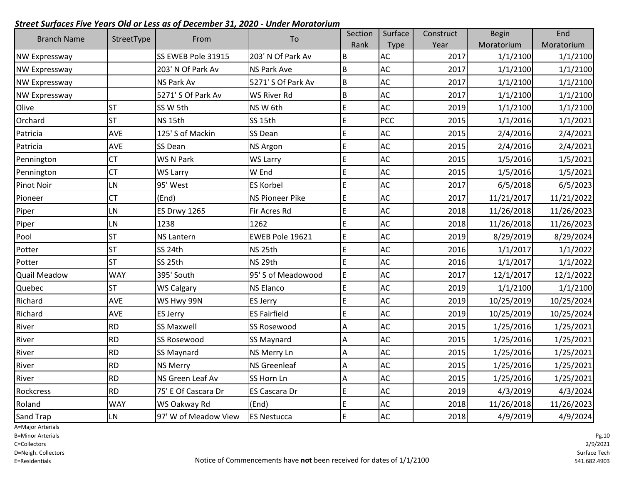| <b>Branch Name</b>   | StreetType | From                 | To                     | Section        | Surface    | Construct | <b>Begin</b> | End        |
|----------------------|------------|----------------------|------------------------|----------------|------------|-----------|--------------|------------|
|                      |            |                      |                        | Rank           | Type       | Year      | Moratorium   | Moratorium |
| <b>NW Expressway</b> |            | SS EWEB Pole 31915   | 203' N Of Park Av      | B              | AC         | 2017      | 1/1/2100     | 1/1/2100   |
| NW Expressway        |            | 203' N Of Park Av    | <b>NS Park Ave</b>     | B              | AC         | 2017      | 1/1/2100     | 1/1/2100   |
| NW Expressway        |            | <b>NS Park Av</b>    | 5271' S Of Park Av     | $\sf B$        | AC         | 2017      | 1/1/2100     | 1/1/2100   |
| NW Expressway        |            | 5271' S Of Park Av   | <b>WS River Rd</b>     | $\overline{B}$ | AC         | 2017      | 1/1/2100     | 1/1/2100   |
| Olive                | <b>ST</b>  | SS W 5th             | NS W 6th               | $\mathsf E$    | AC         | 2019      | 1/1/2100     | 1/1/2100   |
| Orchard              | <b>ST</b>  | NS <sub>15th</sub>   | SS 15th                | E              | <b>PCC</b> | 2015      | 1/1/2016     | 1/1/2021   |
| Patricia             | <b>AVE</b> | 125' S of Mackin     | SS Dean                | $\mathsf E$    | AC         | 2015      | 2/4/2016     | 2/4/2021   |
| Patricia             | AVE        | SS Dean              | <b>NS Argon</b>        | $\mathsf E$    | AC         | 2015      | 2/4/2016     | 2/4/2021   |
| Pennington           | <b>CT</b>  | WS N Park            | <b>WS Larry</b>        | $\mathsf E$    | <b>AC</b>  | 2015      | 1/5/2016     | 1/5/2021   |
| Pennington           | <b>CT</b>  | WS Larry             | W End                  | E              | AC         | 2015      | 1/5/2016     | 1/5/2021   |
| Pinot Noir           | LN         | 95' West             | <b>ES Korbel</b>       | E              | AC         | 2017      | 6/5/2018     | 6/5/2023   |
| Pioneer              | <b>CT</b>  | (End)                | <b>NS Pioneer Pike</b> | $\mathsf E$    | AC         | 2017      | 11/21/2017   | 11/21/2022 |
| Piper                | LN         | <b>ES Drwy 1265</b>  | Fir Acres Rd           | $\mathsf E$    | AC         | 2018      | 11/26/2018   | 11/26/2023 |
| Piper                | LN         | 1238                 | 1262                   | E              | AC         | 2018      | 11/26/2018   | 11/26/2023 |
| Pool                 | <b>ST</b>  | <b>NS Lantern</b>    | EWEB Pole 19621        | $\mathsf E$    | AC         | 2019      | 8/29/2019    | 8/29/2024  |
| Potter               | <b>ST</b>  | SS 24th              | NS <sub>25th</sub>     | $\mathsf E$    | AC         | 2016      | 1/1/2017     | 1/1/2022   |
| Potter               | <b>ST</b>  | SS 25th              | NS <sub>29th</sub>     | $\mathsf E$    | AC         | 2016      | 1/1/2017     | 1/1/2022   |
| <b>Quail Meadow</b>  | <b>WAY</b> | 395' South           | 95' S of Meadowood     | $\mathsf E$    | AC         | 2017      | 12/1/2017    | 12/1/2022  |
| Quebec               | <b>ST</b>  | <b>WS Calgary</b>    | <b>NS Elanco</b>       | E              | AC         | 2019      | 1/1/2100     | 1/1/2100   |
| Richard              | <b>AVE</b> | WS Hwy 99N           | <b>ES Jerry</b>        | E              | AC         | 2019      | 10/25/2019   | 10/25/2024 |
| Richard              | AVE        | <b>ES Jerry</b>      | <b>ES Fairfield</b>    | E              | AC         | 2019      | 10/25/2019   | 10/25/2024 |
| River                | <b>RD</b>  | <b>SS Maxwell</b>    | SS Rosewood            | A              | AC         | 2015      | 1/25/2016    | 1/25/2021  |
| River                | <b>RD</b>  | <b>SS Rosewood</b>   | SS Maynard             | A              | <b>AC</b>  | 2015      | 1/25/2016    | 1/25/2021  |
| River                | <b>RD</b>  | <b>SS Maynard</b>    | NS Merry Ln            | A              | AC         | 2015      | 1/25/2016    | 1/25/2021  |
| River                | <b>RD</b>  | <b>NS Merry</b>      | <b>NS Greenleaf</b>    | $\overline{A}$ | AC         | 2015      | 1/25/2016    | 1/25/2021  |
| River                | <b>RD</b>  | NS Green Leaf Av     | SS Horn Ln             | A              | AC         | 2015      | 1/25/2016    | 1/25/2021  |
| Rockcress            | <b>RD</b>  | 75' E Of Cascara Dr  | <b>ES Cascara Dr</b>   | $\mathsf E$    | AC         | 2019      | 4/3/2019     | 4/3/2024   |
| Roland               | <b>WAY</b> | WS Oakway Rd         | (End)                  | E              | AC         | 2018      | 11/26/2018   | 11/26/2023 |
| Sand Trap            | LN         | 97' W of Meadow View | <b>ES Nestucca</b>     | E              | AC         | 2018      | 4/9/2019     | 4/9/2024   |

A=Major Arterials

B=Minor Arterials

C=Collectors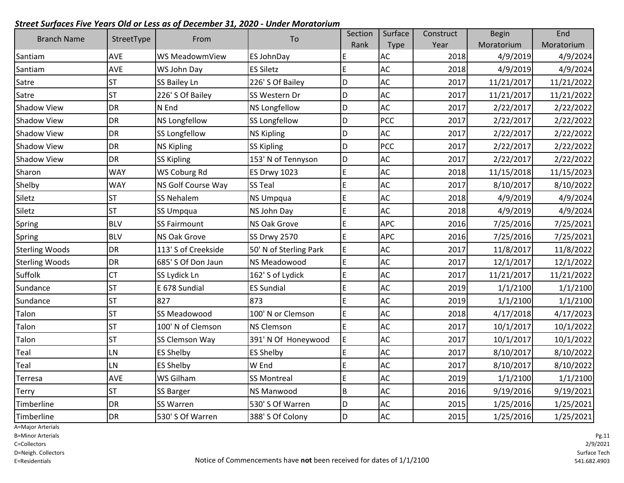| <b>Branch Name</b>    | StreetType |                      | To                     | Section     | Surface       | Construct | <b>Begin</b> | End        |
|-----------------------|------------|----------------------|------------------------|-------------|---------------|-----------|--------------|------------|
|                       |            | From                 |                        | Rank        | Type          | Year      | Moratorium   | Moratorium |
| Santiam               | <b>AVE</b> | WS MeadowmView       | ES JohnDay             | E           | <b>AC</b>     | 2018      | 4/9/2019     | 4/9/2024   |
| Santiam               | AVE        | WS John Day          | <b>ES Siletz</b>       | E           | AC            | 2018      | 4/9/2019     | 4/9/2024   |
| Satre                 | <b>ST</b>  | <b>SS Bailey Ln</b>  | 226' S Of Bailey       | D           | AC            | 2017      | 11/21/2017   | 11/21/2022 |
| Satre                 | <b>ST</b>  | 226' S Of Bailey     | SS Western Dr          | D           | AC            | 2017      | 11/21/2017   | 11/21/2022 |
| Shadow View           | DR         | N End                | <b>NS Longfellow</b>   | D           | AC            | 2017      | 2/22/2017    | 2/22/2022  |
| <b>Shadow View</b>    | <b>DR</b>  | <b>NS Longfellow</b> | SS Longfellow          | D           | PCC           | 2017      | 2/22/2017    | 2/22/2022  |
| <b>Shadow View</b>    | DR         | <b>SS Longfellow</b> | <b>NS Kipling</b>      | D           | AC            | 2017      | 2/22/2017    | 2/22/2022  |
| <b>Shadow View</b>    | <b>DR</b>  | <b>NS Kipling</b>    | <b>SS Kipling</b>      | D           | PCC           | 2017      | 2/22/2017    | 2/22/2022  |
| <b>Shadow View</b>    | DR         | <b>SS Kipling</b>    | 153' N of Tennyson     | D           | AC            | 2017      | 2/22/2017    | 2/22/2022  |
| Sharon                | <b>WAY</b> | WS Coburg Rd         | <b>ES Drwy 1023</b>    | E           | AC            | 2018      | 11/15/2018   | 11/15/2023 |
| Shelby                | <b>WAY</b> | NS Golf Course Way   | <b>SS Teal</b>         | E           | AC            | 2017      | 8/10/2017    | 8/10/2022  |
| Siletz                | <b>ST</b>  | <b>SS Nehalem</b>    | <b>NS Umpqua</b>       | E           | AC            | 2018      | 4/9/2019     | 4/9/2024   |
| Siletz                | <b>ST</b>  | SS Umpqua            | NS John Day            | E           | AC            | 2018      | 4/9/2019     | 4/9/2024   |
| Spring                | <b>BLV</b> | <b>SS Fairmount</b>  | <b>NS Oak Grove</b>    | E           | <b>APC</b>    | 2016      | 7/25/2016    | 7/25/2021  |
| Spring                | <b>BLV</b> | <b>NS Oak Grove</b>  | <b>SS Drwy 2570</b>    | E           | <b>APC</b>    | 2016      | 7/25/2016    | 7/25/2021  |
| <b>Sterling Woods</b> | <b>DR</b>  | 113' S of Creekside  | 50' N of Sterling Park | $\mathsf E$ | AC            | 2017      | 11/8/2017    | 11/8/2022  |
| <b>Sterling Woods</b> | <b>DR</b>  | 685' S Of Don Jaun   | NS Meadowood           | E           | AC            | 2017      | 12/1/2017    | 12/1/2022  |
| Suffolk               | CT         | SS Lydick Ln         | 162' S of Lydick       | E           | AC            | 2017      | 11/21/2017   | 11/21/2022 |
| Sundance              | ST         | E 678 Sundial        | <b>ES Sundial</b>      | E           | AC            | 2019      | 1/1/2100     | 1/1/2100   |
| Sundance              | <b>ST</b>  | 827                  | 873                    | E           | AC            | 2019      | 1/1/2100     | 1/1/2100   |
| Talon                 | <b>ST</b>  | SS Meadowood         | 100' N or Clemson      | E           | AC            | 2018      | 4/17/2018    | 4/17/2023  |
| Talon                 | <b>ST</b>  | 100' N of Clemson    | <b>NS Clemson</b>      | E           | <b>AC</b>     | 2017      | 10/1/2017    | 10/1/2022  |
| Talon                 | <b>ST</b>  | SS Clemson Way       | 391' N Of Honeywood    | E           | AC            | 2017      | 10/1/2017    | 10/1/2022  |
| Teal                  | LN         | <b>ES Shelby</b>     | <b>ES Shelby</b>       | E           | AC            | 2017      | 8/10/2017    | 8/10/2022  |
| Teal                  | <b>LN</b>  | <b>ES Shelby</b>     | W End                  | E           | $\mathsf{AC}$ | 2017      | 8/10/2017    | 8/10/2022  |
| Terresa               | <b>AVE</b> | <b>WS Gilham</b>     | <b>SS Montreal</b>     | E           | AC            | 2019      | 1/1/2100     | 1/1/2100   |
| Terry                 | <b>ST</b>  | <b>SS Barger</b>     | <b>NS Manwood</b>      | B           | AC            | 2016      | 9/19/2016    | 9/19/2021  |
| Timberline            | DR         | SS Warren            | 530' S Of Warren       | D           | $\mathsf{AC}$ | 2015      | 1/25/2016    | 1/25/2021  |
| Timberline            | <b>DR</b>  | 530' S Of Warren     | 388' S Of Colony       | D           | <b>AC</b>     | 2015      | 1/25/2016    | 1/25/2021  |

A=Major Arterials

B=Minor Arterials

C=Collectors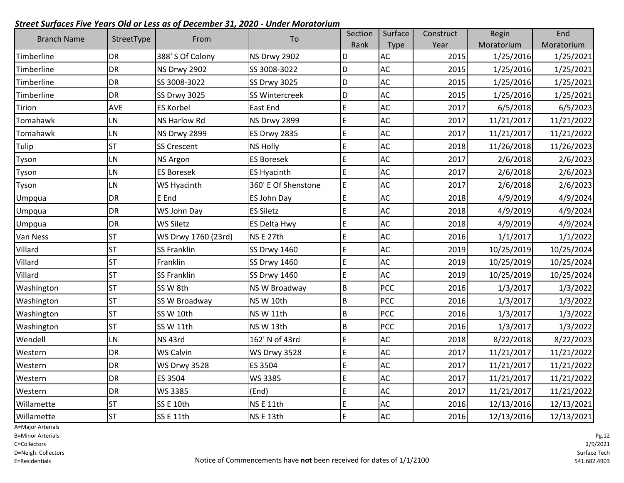| <b>Branch Name</b> | StreetType | From                | To                  | Section     | Surface     | Construct | <b>Begin</b> | End        |
|--------------------|------------|---------------------|---------------------|-------------|-------------|-----------|--------------|------------|
|                    |            |                     |                     | Rank        | <b>Type</b> | Year      | Moratorium   | Moratorium |
| Timberline         | DR         | 388' S Of Colony    | <b>NS Drwy 2902</b> | D           | <b>AC</b>   | 2015      | 1/25/2016    | 1/25/2021  |
| Timberline         | <b>DR</b>  | NS Drwy 2902        | SS 3008-3022        | D           | <b>AC</b>   | 2015      | 1/25/2016    | 1/25/2021  |
| Timberline         | DR         | SS 3008-3022        | SS Drwy 3025        | D           | AC          | 2015      | 1/25/2016    | 1/25/2021  |
| Timberline         | <b>DR</b>  | SS Drwy 3025        | SS Wintercreek      | D           | AC          | 2015      | 1/25/2016    | 1/25/2021  |
| <b>Tirion</b>      | <b>AVE</b> | <b>ES Korbel</b>    | East End            | E           | AC          | 2017      | 6/5/2018     | 6/5/2023   |
| Tomahawk           | LN         | <b>NS Harlow Rd</b> | <b>NS Drwy 2899</b> | $\mathsf E$ | AC          | 2017      | 11/21/2017   | 11/21/2022 |
| Tomahawk           | LN         | NS Drwy 2899        | <b>ES Drwy 2835</b> | E           | <b>AC</b>   | 2017      | 11/21/2017   | 11/21/2022 |
| Tulip              | <b>ST</b>  | <b>SS Crescent</b>  | <b>NS Holly</b>     | E           | <b>AC</b>   | 2018      | 11/26/2018   | 11/26/2023 |
| Tyson              | LN         | <b>NS Argon</b>     | <b>ES Boresek</b>   | E           | <b>AC</b>   | 2017      | 2/6/2018     | 2/6/2023   |
| Tyson              | <b>LN</b>  | <b>ES Boresek</b>   | <b>ES Hyacinth</b>  | E           | AC          | 2017      | 2/6/2018     | 2/6/2023   |
| Tyson              | LN         | WS Hyacinth         | 360' E Of Shenstone | E           | AC          | 2017      | 2/6/2018     | 2/6/2023   |
| Umpqua             | <b>DR</b>  | E End               | <b>ES John Day</b>  | E           | AC          | 2018      | 4/9/2019     | 4/9/2024   |
| Umpqua             | <b>DR</b>  | WS John Day         | <b>ES Siletz</b>    | E           | <b>AC</b>   | 2018      | 4/9/2019     | 4/9/2024   |
| Umpqua             | DR         | <b>WS Siletz</b>    | <b>ES Delta Hwy</b> | E           | <b>AC</b>   | 2018      | 4/9/2019     | 4/9/2024   |
| Van Ness           | <b>ST</b>  | WS Drwy 1760 (23rd) | NSE 27th            | E           | AC          | 2016      | 1/1/2017     | 1/1/2022   |
| Villard            | <b>ST</b>  | <b>SS Franklin</b>  | SS Drwy 1460        | E           | AC          | 2019      | 10/25/2019   | 10/25/2024 |
| Villard            | <b>ST</b>  | Franklin            | <b>SS Drwy 1460</b> | E           | AC          | 2019      | 10/25/2019   | 10/25/2024 |
| Villard            | <b>ST</b>  | <b>SS Franklin</b>  | SS Drwy 1460        | E           | <b>AC</b>   | 2019      | 10/25/2019   | 10/25/2024 |
| Washington         | <b>ST</b>  | SS W 8th            | NS W Broadway       | $\sf B$     | <b>PCC</b>  | 2016      | 1/3/2017     | 1/3/2022   |
| Washington         | <b>ST</b>  | SS W Broadway       | NS W 10th           | B           | PCC         | 2016      | 1/3/2017     | 1/3/2022   |
| Washington         | <b>ST</b>  | SS W 10th           | NS W 11th           | B           | <b>PCC</b>  | 2016      | 1/3/2017     | 1/3/2022   |
| Washington         | <b>ST</b>  | SS W 11th           | NS W 13th           | $\sf B$     | PCC         | 2016      | 1/3/2017     | 1/3/2022   |
| Wendell            | LN         | NS <sub>43rd</sub>  | 162' N of 43rd      | E           | <b>AC</b>   | 2018      | 8/22/2018    | 8/22/2023  |
| Western            | <b>DR</b>  | WS Calvin           | <b>WS Drwy 3528</b> | E           | AC          | 2017      | 11/21/2017   | 11/21/2022 |
| Western            | DR         | <b>WS Drwy 3528</b> | ES 3504             | E           | <b>AC</b>   | 2017      | 11/21/2017   | 11/21/2022 |
| Western            | DR         | ES 3504             | WS 3385             | E           | <b>AC</b>   | 2017      | 11/21/2017   | 11/21/2022 |
| Western            | <b>DR</b>  | WS 3385             | (End)               | $\mathsf E$ | <b>AC</b>   | 2017      | 11/21/2017   | 11/21/2022 |
| Willamette         | <b>ST</b>  | SS E 10th           | <b>NSE 11th</b>     | E           | AC          | 2016      | 12/13/2016   | 12/13/2021 |
| Willamette         | <b>ST</b>  | <b>SS E 11th</b>    | NSE 13th            | $\mathsf E$ | AC          | 2016      | 12/13/2016   | 12/13/2021 |

A=Major Arterials

B=Minor Arterials

C=Collectors